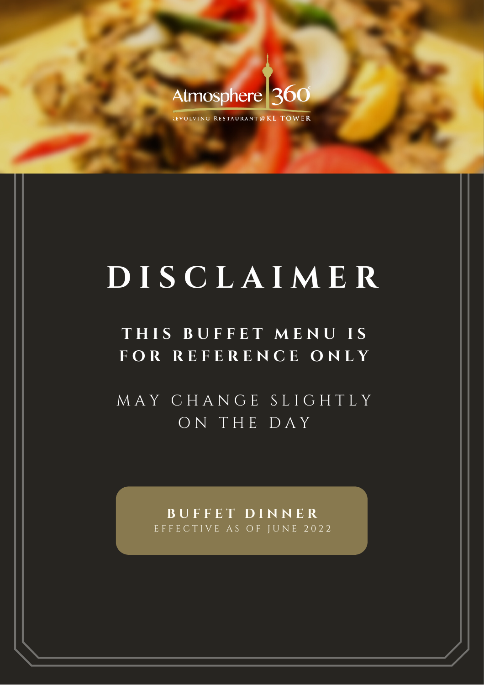LEVOLVING RESTAURANT @ KL TOWER

# **D I S C L A I M E R**

## **T H I S B U F F E T M E N U I S F O R R E F E R E N C E O N L Y**

M A Y C H A N G E S L I G H T L Y O N T H E D A Y

> **B U F F E T D I N N E R** EFFECTIVE AS OF JUNE 2022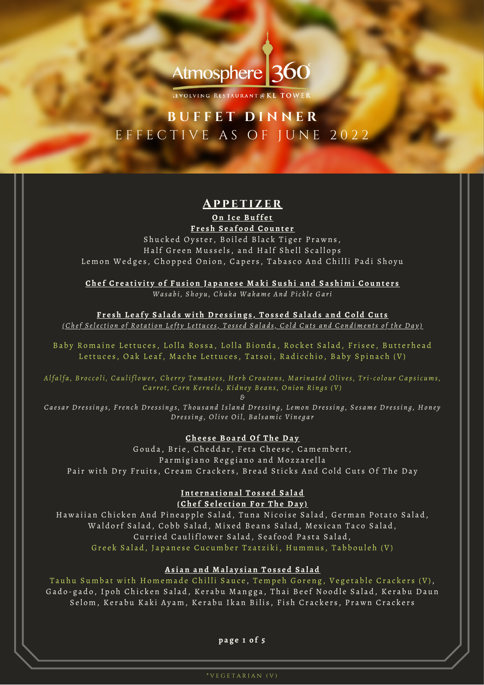LEVOLVING RESTAURANT @ KL TOWER

## **B U F F E T D I N N E R** EFFECTIVE AS OF JUNE 2022

## **A p p e t izer**

### **On I c e Bu ff e t**

**F r e s h S e a f o o d Co u n t e r** Shucked Oyster, Boiled Black Tiger Prawns, Half Green Mussels, and Half Shell Scallops Lemon Wedges, Chopped Onion, Capers, Tabasco And Chilli Padi Shoyu

Chef Creativity of Fusion Japanese Maki Sushi and Sashimi Counters

Wasabi, Shoyu, Chuka Wakame And Pickle Gari

Fresh Leafy Salads with Dressings, Tossed Salads and Cold Cuts

<u>(Chef Selection of Rotation Lefty Lettuces, Tossed Salads, Cold Cuts and Condiments of the Day)</u>

Baby Romaine Lettuces, Lolla Rossa, Lolla Bionda, Rocket Salad, Frisee, Butterhead Lettuces, Oak Leaf, Mache Lettuces, Tatsoi, Radicchio, Baby Spinach (V)

Alfalfa, Broccoli, Cauliflower, Cherry Tomatoes, Herb Croutons, Marinated Olives, Tri-colour Capsicums, Carrot, Corn Kernels, Kidney Beans, Onion Rings (V)

*&*

Caesar Dressings, French Dressings, Thousand Island Dressing, Lemon Dressing, Sesame Dressing, Honey *Dressi n g , Ol i v e Oi l , B a ls a m ic V i n e g a r*

**Ch e e s e Bo a r d Of T h e Da y**

Gouda, Brie, Cheddar, Feta Cheese, Camembert, Parmigiano Reggiano and Mozzarella Pair with Dry Fruits, Cream Crackers, Bread Sticks And Cold Cuts Of The Day

> **I n t e r n a ti o n a l T o s s e d S a l a d (Ch e f S e l e c ti o n F o r T h e Da y )**

Hawaiian Chicken And Pineapple Salad, Tuna Nicoise Salad, German Potato Salad, Waldorf Salad, Cobb Salad, Mixed Beans Salad, Mexican Taco Salad, Curried Cauliflower Salad, Seafood Pasta Salad, Greek Salad, Japanese Cucumber Tzatziki, Hummus, Tabbouleh (V)

#### Asian and Malaysian Tossed Salad

Tauhu Sumbat with Homemade Chilli Sauce, Tempeh Goreng, Vegetable Crackers (V), Gado-gado, Ipoh Chicken Salad, Kerabu Mangga, Thai Beef Noodle Salad, Kerabu Daun Selom, Kerabu Kaki Ayam, Kerabu Ikan Bilis, Fish Crackers, Prawn Crackers

**p a g e 1 o f 5**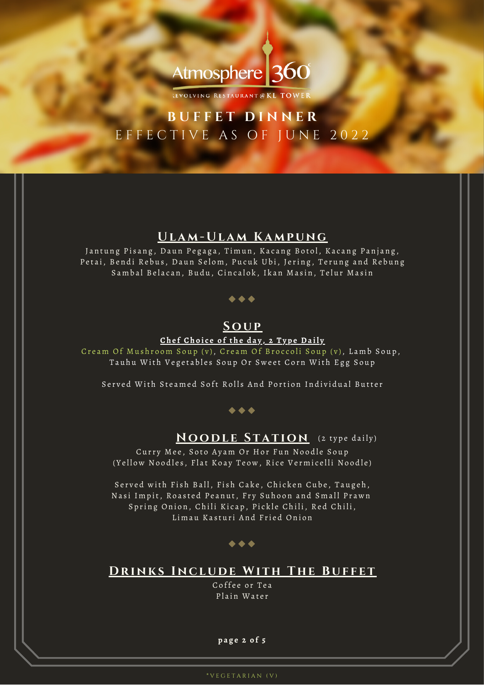LEVOLVING RESTAURANT @ KL TOWER

## **B U F F E T D I N N E R** EFFECTIVE AS OF JUNE 2022

### **U la m - U la m Ka m p ung**

Jantung Pisang, Daun Pegaga, Timun, Kacang Botol, Kacang Panjang, Petai, Bendi Rebus, Daun Selom, Pucuk Ubi, Jering, Terung and Rebung Sambal Belacan, Budu, Cincalok, Ikan Masin, Telur Masin

### $\bullet\bullet\bullet$

## **Sou p**

#### Chef Choice of the day, 2 Type Daily

Cream Of Mushroom Soup (v), Cream Of Broccoli Soup (v), Lamb Soup, Tauhu With Vegetables Soup Or Sweet Corn With Egg Soup

Served With Steamed Soft Rolls And Portion Individual Butter

#### $\bullet\bullet\bullet$

### $\bf{NOODLE}$   $\bf{STATION}$  (2 type daily)

Curry Mee, Soto Ayam Or Hor Fun Noodle Soup ( Yellow Noodles, Flat Koay Teow, Rice Vermicelli Noodle)

Served with Fish Ball, Fish Cake, Chicken Cube, Taugeh, Nasi Impit, Roasted Peanut, Fry Suhoon and Small Prawn Spring Onion, Chili Kicap, Pickle Chili, Red Chili, Limau Kasturi And Fried Onion

#### $\bullet\bullet\bullet$

### **DRINKS INCLUDE WITH THE BUFFET**

Coffee or Tea Plain Water

**p a g e 2 o f 5**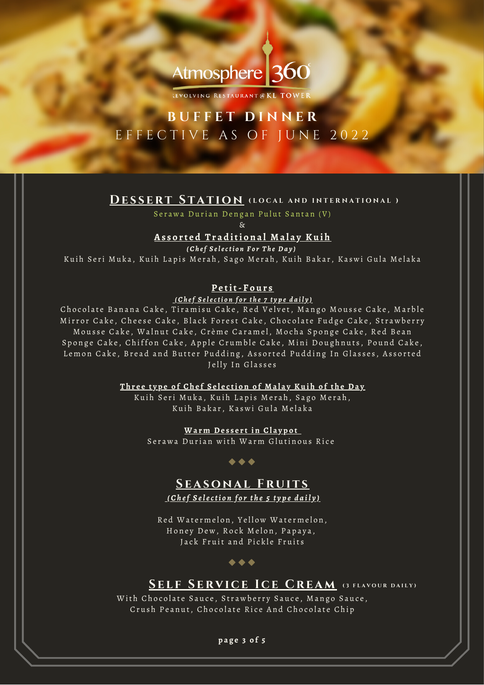LEVOLVING RESTAURANT @ KL TOWER

## **B U F F E T D I N N E R** EFFECTIVE AS OF JUNE 2022

## **DESSERT STATION** (LOCAL AND INTERNATIONAL )

Serawa Durian Dengan Pulut Santan (V)

 $\mathcal{L}_{\tau}$ 

### **As s o r t e d T r a d iti o n a l M a l a y Ku i h**

*( C h ef S electi o n F o r T h e Da y )*

Kuih Seri Muka, Kuih Lapis Merah, Sago Merah, Kuih Bakar, Kaswi Gula Melaka

#### **P e tit- F o u r s**

#### (Chef Selection for the 7 type daily)

Chocolate Banana Cake, Tiramisu Cake, Red Velvet, Mango Mousse Cake, Marble Mirror Cake, Cheese Cake, Black Forest Cake, Chocolate Fudge Cake, Strawberry Mousse Cake, Walnut Cake, Crème Caramel, Mocha Sponge Cake, Red Bean Sponge Cake, Chiffon Cake, Apple Crumble Cake, Mini Doughnuts, Pound Cake, Lemon Cake, Bread and Butter Pudding, Assorted Pudding In Glasses, Assorted Jelly In Glasses

Three type of Chef Selection of Malay Kuih of the Day

Kuih Seri Muka, Kuih Lapis Merah, Sago Merah, Kuih Bakar, Kaswi Gula Melaka

**Wa r m De s s e r t i n Cl a y p o t**

Serawa Durian with Warm Glutinous Rice

 $\bullet\bullet\bullet$ 

## **S easonal Fr u i t s**

<u>(Chef Selection for the 5 type daily)</u>

Red Watermelon, Yellow Watermelon, Honey Dew, Rock Melon, Papaya, Jack Fruit and Pickle Fruits

 $\bullet\hspace{0.1cm} \bullet\hspace{0.1cm} \bullet\hspace{0.1cm} \bullet$ 

## **SELF SERVICE ICE CREAM** (3 FLAVOUR DAILY)

With Chocolate Sauce, Strawberry Sauce, Mango Sauce, Crush Peanut, Chocolate Rice And Chocolate Chip

#### **p a g e 3 o f 5**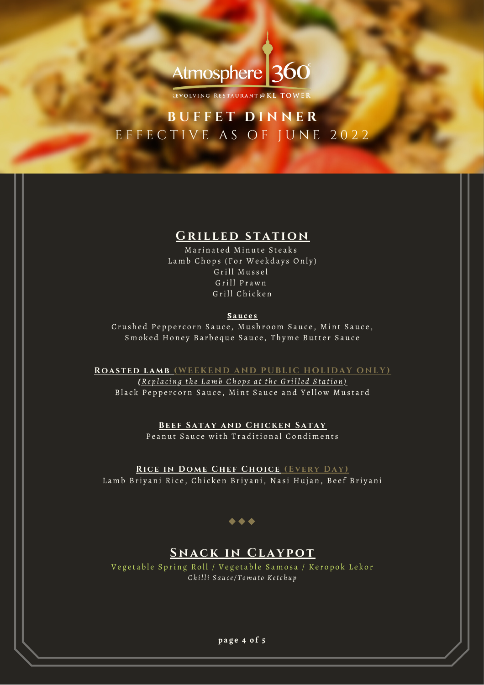

LEVOLVING RESTAURANT@KL TOWER

## **B U F F E T D I N N E R** EFFECTIVE AS OF JUNE 2022

### $G$  **RILLED STATION**

Marinated Minute Steaks Lamb Chops (For Weekdays Only) Grill Mussel Grill Prawn Grill Chicken

#### **S a u c e s**

Crushed Peppercorn Sauce, Mushroom Sauce, Mint Sauce, Smoked Honey Barbeque Sauce, Thyme Butter Sauce

**ROASTED LAMB (WEEKEND AND PUBLIC HOLIDAY ONLY)** 

<u>(Replacing the Lamb Chops at the Grilled Station)</u> Black Peppercorn Sauce, Mint Sauce and Yellow Mustard

### **Be e f Satay and Chicken Satay**

Peanut Sauce with Traditional Condiments

## **R ice in D o m e Che f Choice (Every D ay)**

Lamb Briyani Rice, Chicken Briyani, Nasi Hujan, Beef Briyani

#### $\bullet\bullet\bullet$

### **Snack in Claypot**

Vegetable Spring Roll / Vegetable Samosa / Keropok Lekor *Ch i l l i S a u ce/ T o m a t o Ketc h u p*